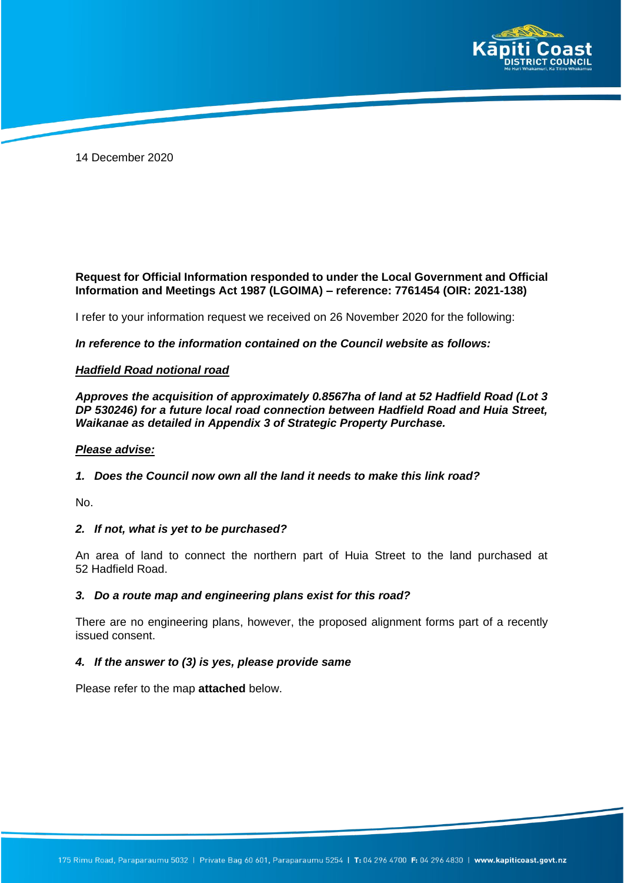

14 December 2020

# **Request for Official Information responded to under the Local Government and Official Information and Meetings Act 1987 (LGOIMA) – reference: 7761454 (OIR: 2021-138)**

I refer to your information request we received on 26 November 2020 for the following:

### *In reference to the information contained on the Council website as follows:*

### *Hadfield Road notional road*

*Approves the acquisition of approximately 0.8567ha of land at 52 Hadfield Road (Lot 3 DP 530246) for a future local road connection between Hadfield Road and Huia Street, Waikanae as detailed in Appendix 3 of Strategic Property Purchase.*

#### *Please advise:*

# *1. Does the Council now own all the land it needs to make this link road?*

No.

# *2. If not, what is yet to be purchased?*

An area of land to connect the northern part of Huia Street to the land purchased at 52 Hadfield Road.

#### *3. Do a route map and engineering plans exist for this road?*

There are no engineering plans, however, the proposed alignment forms part of a recently issued consent.

#### *4. If the answer to (3) is yes, please provide same*

Please refer to the map **attached** below.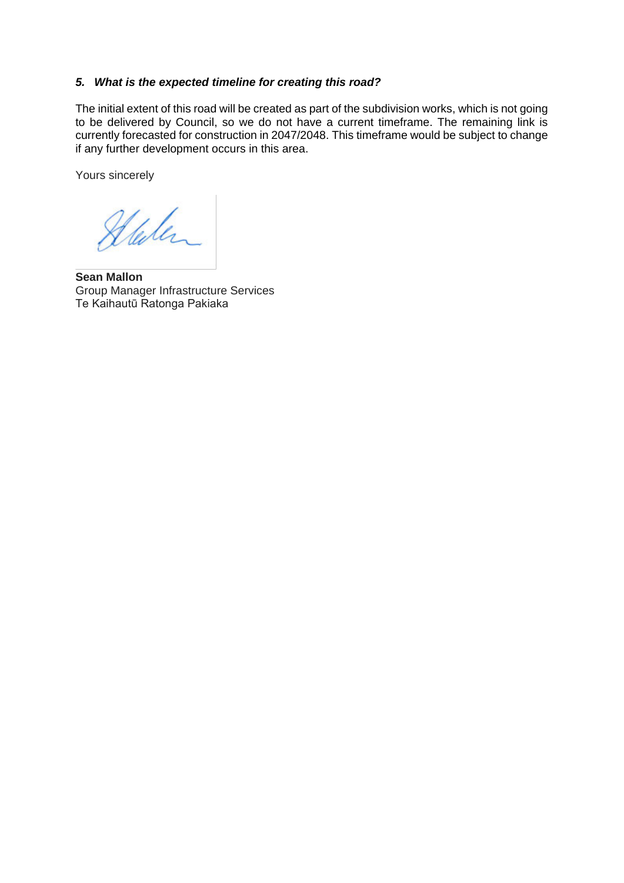### *5. What is the expected timeline for creating this road?*

The initial extent of this road will be created as part of the subdivision works, which is not going to be delivered by Council, so we do not have a current timeframe. The remaining link is currently forecasted for construction in 2047/2048. This timeframe would be subject to change if any further development occurs in this area.

Yours sincerely

Stalen

**Sean Mallon** Group Manager Infrastructure Services Te Kaihautū Ratonga Pakiaka